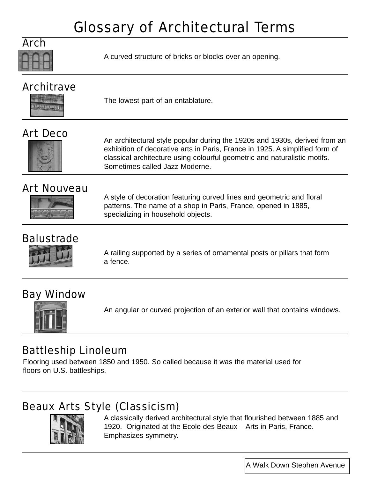

A curved structure of bricks or blocks over an opening.

## **Architrave**



The lowest part of an entablature.

#### Art Deco



An architectural style popular during the 1920s and 1930s, derived from an exhibition of decorative arts in Paris, France in 1925. A simplified form of classical architecture using colourful geometric and naturalistic motifs. Sometimes called Jazz Moderne.

#### Art Nouveau



A style of decoration featuring curved lines and geometric and floral patterns. The name of a shop in Paris, France, opened in 1885, specializing in household objects.

#### **Balustrade**



A railing supported by a series of ornamental posts or pillars that form a fence.

#### Bay Window



An angular or curved projection of an exterior wall that contains windows.

#### Battleship Linoleum

Flooring used between 1850 and 1950. So called because it was the material used for floors on U.S. battleships.

### Beaux Arts Style (Classicism)



A classically derived architectural style that flourished between 1885 and 1920. Originated at the Ecole des Beaux – Arts in Paris, France. Emphasizes symmetry.

A Walk Down Stephen Avenue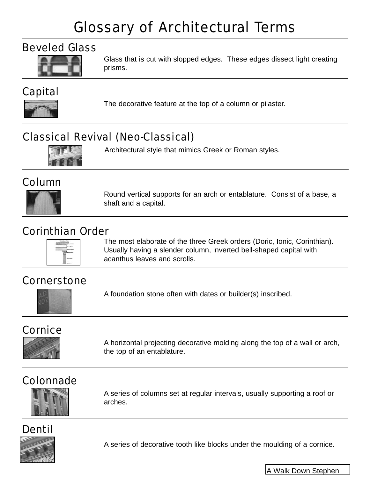#### Beveled Glass



Glass that is cut with slopped edges. These edges dissect light creating prisms.

### Capital



The decorative feature at the top of a column or pilaster.

### Classical Revival (Neo-Classical)



Architectural style that mimics Greek or Roman styles.

#### Column



Round vertical supports for an arch or entablature. Consist of a base, a shaft and a capital.

#### Corinthian Order



The most elaborate of the three Greek orders (Doric, Ionic, Corinthian). Usually having a slender column, inverted bell-shaped capital with acanthus leaves and scrolls.

#### **Cornerstone**



A foundation stone often with dates or builder(s) inscribed.

#### Cornice



A horizontal projecting decorative molding along the top of a wall or arch, the top of an entablature.

## Colonnade



A series of columns set at regular intervals, usually supporting a roof or arches.

# Dentil



A series of decorative tooth like blocks under the moulding of a cornice.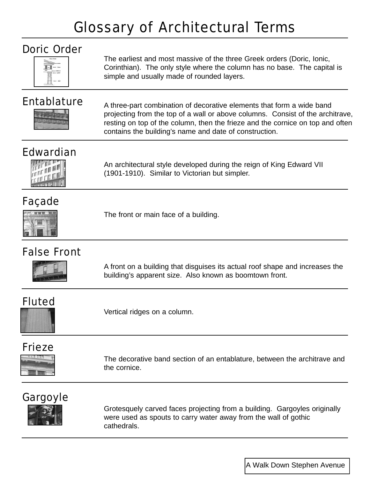| ۱ |   |   |
|---|---|---|
| ÷ |   |   |
|   |   | × |
|   | ī |   |

The earliest and most massive of the three Greek orders (Doric, Ionic, Corinthian). The only style where the column has no base. The capital is simple and usually made of rounded layers.



**Entablature** A three-part combination of decorative elements that form a wide band projecting from the top of a wall or above columns. Consist of the architrave, resting on top of the column, then the frieze and the cornice on top and often contains the building's name and date of construction.

## Edwardian



An architectural style developed during the reign of King Edward VII (1901-1910). Similar to Victorian but simpler.

#### Façade



The front or main face of a building.

## False Front



A front on a building that disguises its actual roof shape and increases the building's apparent size. Also known as boomtown front.

#### Fluted

Vertical ridges on a column.

## Frieze



The decorative band section of an entablature, between the architrave and the cornice.

#### Gargoyle



Grotesquely carved faces projecting from a building. Gargoyles originally were used as spouts to carry water away from the wall of gothic cathedrals.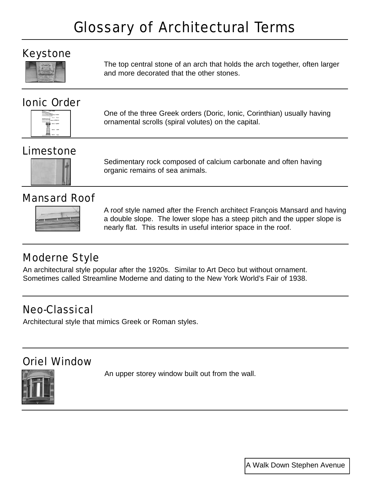#### Keystone



The top central stone of an arch that holds the arch together, often larger and more decorated that the other stones.

#### Ionic Order



One of the three Greek orders (Doric, Ionic, Corinthian) usually having ornamental scrolls (spiral volutes) on the capital.

### Limestone



Sedimentary rock composed of calcium carbonate and often having organic remains of sea animals.

#### Mansard Roof



A roof style named after the French architect François Mansard and having a double slope. The lower slope has a steep pitch and the upper slope is nearly flat. This results in useful interior space in the roof.

### Moderne Style

An architectural style popular after the 1920s. Similar to Art Deco but without ornament. Sometimes called Streamline Moderne and dating to the New York World's Fair of 1938.

#### Neo-Classical

Architectural style that mimics Greek or Roman styles.

### Oriel Window

An upper storey window built out from the wall.

A Walk Down Stephen Avenue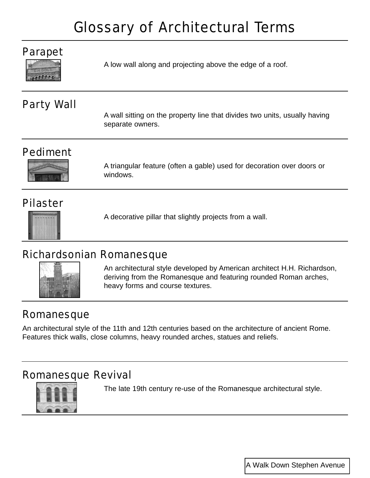#### Parapet



A low wall along and projecting above the edge of a roof.

#### Party Wall

A wall sitting on the property line that divides two units, usually having separate owners.

#### Pediment



A triangular feature (often a gable) used for decoration over doors or windows.

#### Pilaster



A decorative pillar that slightly projects from a wall.

#### Richardsonian Romanesque



An architectural style developed by American architect H.H. Richardson, deriving from the Romanesque and featuring rounded Roman arches, heavy forms and course textures.

#### Romanesque

An architectural style of the 11th and 12th centuries based on the architecture of ancient Rome. Features thick walls, close columns, heavy rounded arches, statues and reliefs.

#### Romanesque Revival



The late 19th century re-use of the Romanesque architectural style.